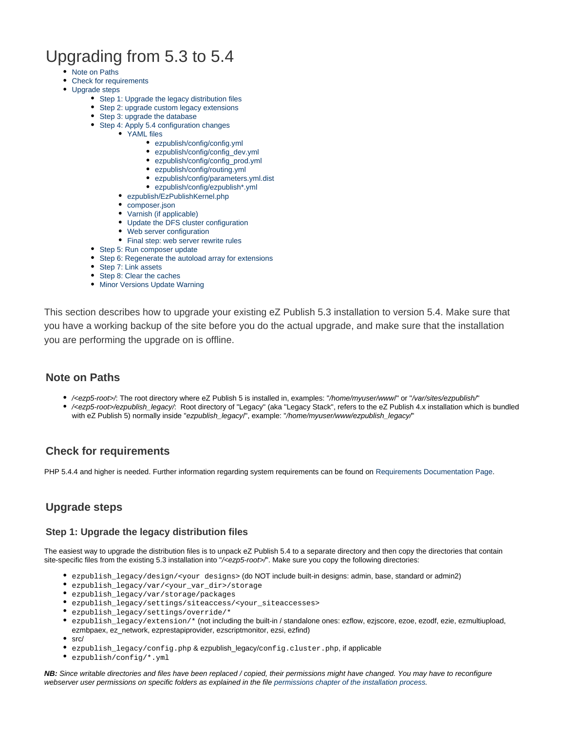# Upgrading from 5.3 to 5.4

- [Note on Paths](#page-0-0)
- [Check for requirements](#page-0-1)
- [Upgrade steps](#page-0-2)
	- [Step 1: Upgrade the legacy distribution files](#page-0-3)
	- [Step 2: upgrade custom legacy extensions](#page-0-4)
	- [Step 3: upgrade the database](#page-1-0)
	- [Step 4: Apply 5.4 configuration changes](#page-1-1)
		- [YAML files](#page-1-2)
			- [ezpublish/config/config.yml](#page-1-3)
			- [ezpublish/config/config\\_dev.yml](#page-1-4)
			- [ezpublish/config/config\\_prod.yml](#page-2-0)
			- [ezpublish/config/routing.yml](#page-2-1)
			- [ezpublish/config/parameters.yml.dist](#page-2-2)
			- [ezpublish/config/ezpublish\\*.yml](#page-2-3)
		- [ezpublish/EzPublishKernel.php](#page-2-4)
		- [composer.json](#page-2-5)
		- [Varnish \(if applicable\)](#page-3-0)
		- [Update the DFS cluster configuration](#page-3-1)
		- [Web server configuration](#page-3-2)
		- [Final step: web server rewrite rules](#page-3-3)
	- [Step 5: Run composer update](#page-3-4)
	- [Step 6: Regenerate the autoload array for extensions](#page-3-5)
	- [Step 7: Link assets](#page-3-6)
	- [Step 8: Clear the caches](#page-3-7)
	- [Minor Versions Update Warning](#page-4-0)

This section describes how to upgrade your existing eZ Publish 5.3 installation to version 5.4. Make sure that you have a working backup of the site before you do the actual upgrade, and make sure that the installation you are performing the upgrade on is offline.

# <span id="page-0-0"></span>**Note on Paths**

- /<ezp5-root>/: The root directory where eZ Publish 5 is installed in, examples: "/home/myuser/www/" or "/var/sites/ezpublish/"
- /<ezp5-root>/ezpublish\_legacy/: Root directory of "Legacy" (aka "Legacy Stack", refers to the eZ Publish 4.x installation which is bundled with eZ Publish 5) normally inside "ezpublish\_legacyl", example: "/home/myuser/www/ezpublish\_legacy/"

# <span id="page-0-1"></span>**Check for requirements**

PHP 5.4.4 and higher is needed. Further information regarding system requirements can be found on [Requirements Documentation Page.](https://confluence.ez.no/display/EZP/Requirements)

# <span id="page-0-2"></span>**Upgrade steps**

# <span id="page-0-3"></span>**Step 1: Upgrade the legacy distribution files**

The easiest way to upgrade the distribution files is to unpack eZ Publish 5.4 to a separate directory and then copy the directories that contain site-specific files from the existing 5.3 installation into "/<ezp5-root>/". Make sure you copy the following directories:

- ezpublish\_legacy/design/<your designs> (do NOT include built-in designs: admin, base, standard or admin2)
- ezpublish\_legacy/var/<your\_var\_dir>/storage
- ezpublish\_legacy/var/storage/packages
- ezpublish\_legacy/settings/siteaccess/<your\_siteaccesses>
- ezpublish\_legacy/settings/override/\*
- ezpublish\_legacy/extension/\* (not including the built-in / standalone ones: ezflow, ezjscore, ezoe, ezodf, ezie, ezmultiupload, ezmbpaex, ez\_network, ezprestapiprovider, ezscriptmonitor, ezsi, ezfind)
- src/
- ezpublish\_legacy/config.php & ezpublish\_legacy/config.cluster.php, if applicable
- ezpublish/config/\*.yml

<span id="page-0-4"></span>**NB:** Since writable directories and files have been replaced / copied, their permissions might have changed. You may have to reconfigure webserver user permissions on specific folders as explained in the file [permissions chapter of the installation process](https://confluence.ez.no/pages/viewpage.action?pageId=7438581#InstallingeZPublishonaLinux%2FUNIXbasedsystem-Settingupfolderpermission).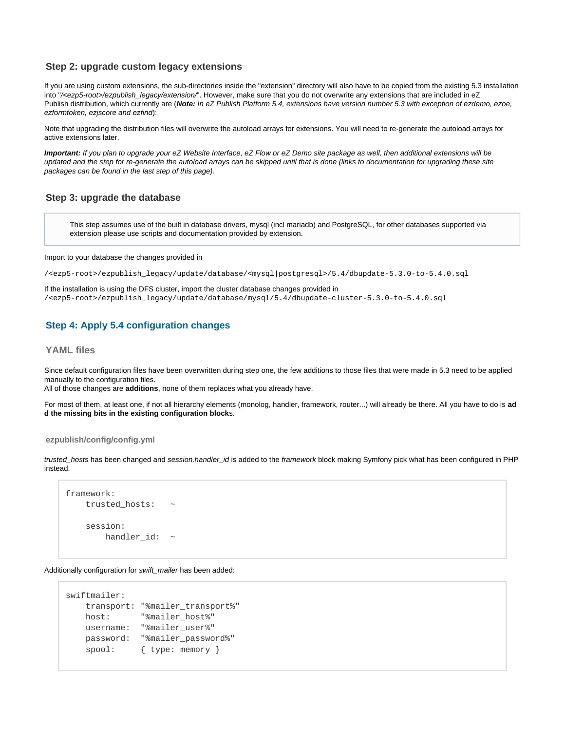## **Step 2: upgrade custom legacy extensions**

If you are using custom extensions, the sub-directories inside the "extension" directory will also have to be copied from the existing 5.3 installation into "/<ezp5-root>/ezpublish\_legacy/extension/". However, make sure that you do not overwrite any extensions that are included in eZ Publish distribution, which currently are (**Note:** In eZ Publish Platform 5.4, extensions have version number 5.3 with exception of ezdemo, ezoe, ezformtoken, ezjscore and ezfind):

Note that upgrading the distribution files will overwrite the autoload arrays for extensions. You will need to re-generate the autoload arrays for active extensions later.

**Important:** If you plan to upgrade your eZ Website Interface, eZ Flow or eZ Demo site package as well, then additional extensions will be updated and the step for re-generate the autoload arrays can be skipped until that is done (links to documentation for upgrading these site packages can be found in the last step of this page).

## <span id="page-1-0"></span>**Step 3: upgrade the database**

This step assumes use of the built in database drivers, mysql (incl mariadb) and PostgreSQL, for other databases supported via extension please use scripts and documentation provided by extension.

Import to your database the changes provided in

/<ezp5-root>/ezpublish\_legacy/update/database/<mysql|postgresql>/5.4/dbupdate-5.3.0-to-5.4.0.sql

If the installation is using the DFS cluster, import the cluster database changes provided in /<ezp5-root>/ezpublish\_legacy/update/database/mysql/5.4/dbupdate-cluster-5.3.0-to-5.4.0.sql

# <span id="page-1-1"></span>**Step 4: Apply 5.4 configuration changes**

#### <span id="page-1-2"></span>**YAML files**

Since default configuration files have been overwritten during step one, the few additions to those files that were made in 5.3 need to be applied manually to the configuration files.

All of those changes are **additions**, none of them replaces what you already have.

For most of them, at least one, if not all hierarchy elements (monolog, handler, framework, router...) will already be there. All you have to do is **ad d the missing bits in the existing configuration block**s.

#### <span id="page-1-3"></span>**ezpublish/config/config.yml**

trusted\_hosts has been changed and session.handler\_id is added to the framework block making Symfony pick what has been configured in PHP instead.

```
framework:
   trusted hosts:
     session:
        handler_id: ~
```
Additionally configuration for swift\_mailer has been added:

```
swiftmailer:
    transport: "%mailer_transport%"
    host: "%mailer_host%"
    username: "%mailer_user%"
    password: "%mailer_password%"
   spool: { type: memory }
```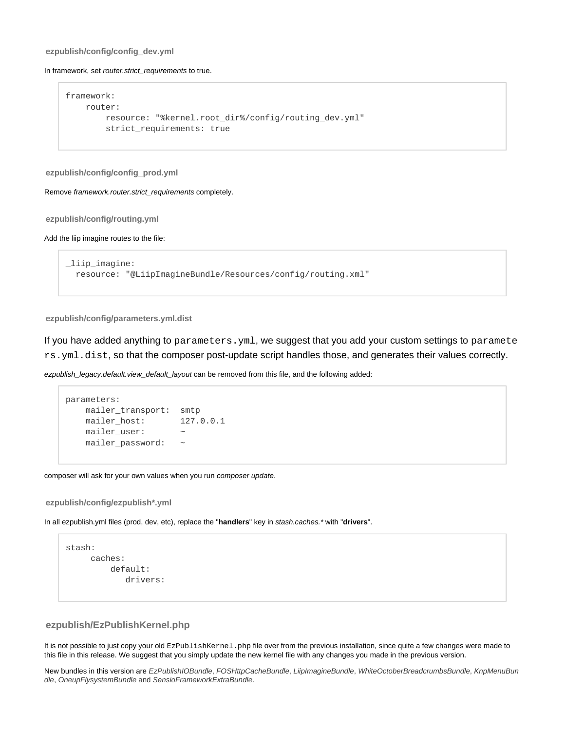#### **ezpublish/config/config\_dev.yml**

#### In framework, set router.strict\_requirements to true.

```
framework:
    router:
        resource: "%kernel.root_dir%/config/routing_dev.yml"
         strict_requirements: true
```
#### <span id="page-2-0"></span>**ezpublish/config/config\_prod.yml**

Remove framework.router.strict\_requirements completely.

#### <span id="page-2-1"></span>**ezpublish/config/routing.yml**

#### Add the liip imagine routes to the file:

```
_liip_imagine:
  resource: "@LiipImagineBundle/Resources/config/routing.xml"
```
#### <span id="page-2-2"></span>**ezpublish/config/parameters.yml.dist**

If you have added anything to parameters.yml, we suggest that you add your custom settings to paramete rs.yml.dist, so that the composer post-update script handles those, and generates their values correctly.

ezpublish\_legacy.default.view\_default\_layout can be removed from this file, and the following added:

```
parameters:
    mailer_transport: smtp
    mailer_host: 127.0.0.1
    mailer_user: ~
    mailer_password: ~
```
composer will ask for your own values when you run composer update.

#### <span id="page-2-3"></span>**ezpublish/config/ezpublish\*.yml**

In all ezpublish.yml files (prod, dev, etc), replace the "**handlers**" key in stash.caches.\* with "**drivers**".

```
stash:
      caches:
           default:
              drivers:
```
## <span id="page-2-4"></span>**ezpublish/EzPublishKernel.php**

It is not possible to just copy your old EzPublishKernel. php file over from the previous installation, since quite a few changes were made to this file in this release. We suggest that you simply update the new kernel file with any changes you made in the previous version.

<span id="page-2-5"></span>New bundles in this version are EzPublishIOBundle, FOSHttpCacheBundle, LiipImagineBundle, WhiteOctoberBreadcrumbsBundle, KnpMenuBun dle, OneupFlysystemBundle and SensioFrameworkExtraBundle.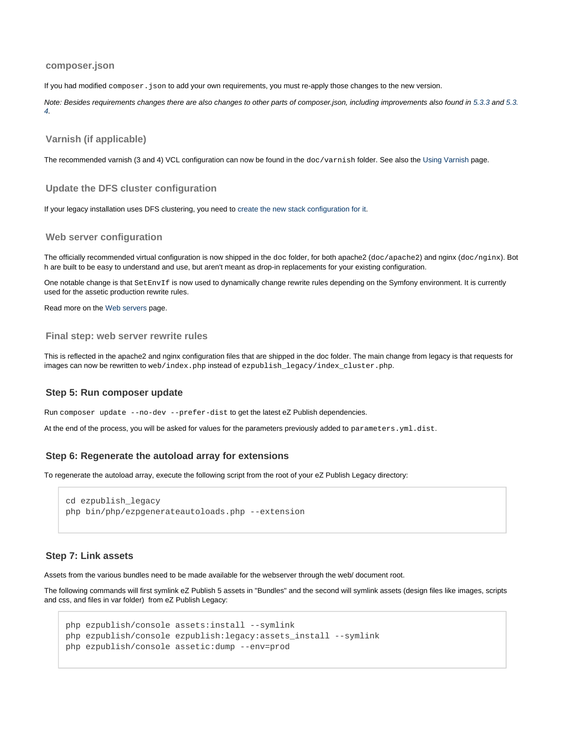#### **composer.json**

If you had modified composer. json to add your own requirements, you must re-apply those changes to the new version.

Note: Besides requirements changes there are also changes to other parts of composer.json, including improvements also found in [5.3.3](https://doc.ez.no/display/EZP/5.3.3+Release+Notes) and [5.3.](https://doc.ez.no/display/EZP/5.3.4+Release+Notes) [4](https://doc.ez.no/display/EZP/5.3.4+Release+Notes).

#### <span id="page-3-0"></span>**Varnish (if applicable)**

The recommended varnish (3 and 4) VCL configuration can now be found in the doc/varnish folder. See also the [Using Varnish](https://doc.ez.no/display/EZP/Using+Varnish) page.

#### <span id="page-3-1"></span>**Update the DFS cluster configuration**

If your legacy installation uses DFS clustering, you need to [create the new stack configuration for it.](https://doc.ez.no/display/EZP/Upgrading+DFS+cluster+to+5.4)

#### <span id="page-3-2"></span>**Web server configuration**

The officially recommended virtual configuration is now shipped in the doc folder, for both apache2 (doc/apache2) and nginx (doc/nginx). Bot h are built to be easy to understand and use, but aren't meant as drop-in replacements for your existing configuration.

One notable change is that Set EnvIf is now used to dynamically change rewrite rules depending on the Symfony environment. It is currently used for the assetic production rewrite rules.

Read more on the [Web servers](https://doc.ez.no/display/EZP/Web+servers) page.

#### <span id="page-3-3"></span>**Final step: web server rewrite rules**

This is reflected in the apache2 and nginx configuration files that are shipped in the doc folder. The main change from legacy is that requests for images can now be rewritten to web/index.php instead of ezpublish\_legacy/index\_cluster.php.

#### <span id="page-3-4"></span>**Step 5: Run composer update**

Run composer update --no-dev --prefer-dist to get the latest eZ Publish dependencies.

At the end of the process, you will be asked for values for the parameters previously added to parameters.yml.dist.

#### <span id="page-3-5"></span>**Step 6: Regenerate the autoload array for extensions**

To regenerate the autoload array, execute the following script from the root of your eZ Publish Legacy directory:

```
cd ezpublish_legacy
php bin/php/ezpgenerateautoloads.php --extension
```
#### <span id="page-3-6"></span>**Step 7: Link assets**

Assets from the various bundles need to be made available for the webserver through the web/ document root.

The following commands will first symlink eZ Publish 5 assets in "Bundles" and the second will symlink assets (design files like images, scripts and css, and files in var folder) from eZ Publish Legacy:

```
php ezpublish/console assets:install --symlink
php ezpublish/console ezpublish:legacy:assets_install --symlink
php ezpublish/console assetic:dump --env=prod
```